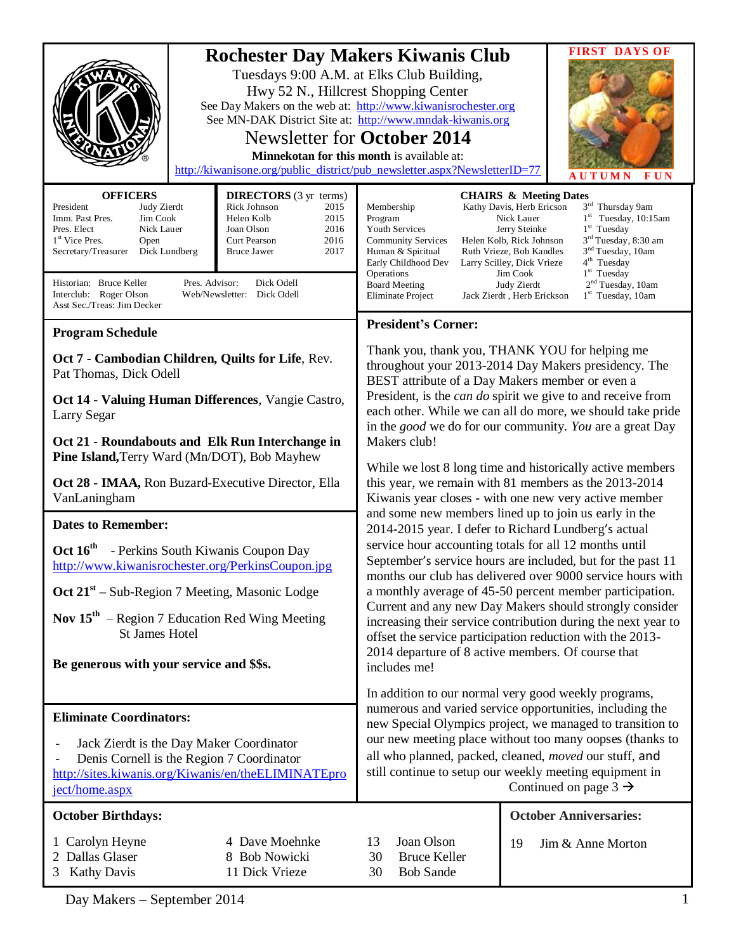| <b>Rochester Day Makers Kiwanis Club</b><br>See Day Makers on the web at: http://www.kiwanisrochester.org<br>See MN-DAK District Site at: http://www.mndak-kiwanis.org<br>http://kiwanisone.org/public_district/pub_newsletter.aspx?NewsletterID=77                                                                                                                                                                                                                                                                                                                                                                    | Tuesdays 9:00 A.M. at Elks Club Building,<br>Hwy 52 N., Hillcrest Shopping Center<br><b>Newsletter for October 2014</b><br>Minnekotan for this month is available at:                                                                                                                                                                                                                                                                                                                                                                                                                                                                                                                                                                                                                                                                                                                                                                                                                                                                                           | <b>FIRST DAYS OF</b><br><b>FUN</b><br><b>AUTUMN</b>                                                                                                                                                                                                                                                                                                                                                                                                                                            |
|------------------------------------------------------------------------------------------------------------------------------------------------------------------------------------------------------------------------------------------------------------------------------------------------------------------------------------------------------------------------------------------------------------------------------------------------------------------------------------------------------------------------------------------------------------------------------------------------------------------------|-----------------------------------------------------------------------------------------------------------------------------------------------------------------------------------------------------------------------------------------------------------------------------------------------------------------------------------------------------------------------------------------------------------------------------------------------------------------------------------------------------------------------------------------------------------------------------------------------------------------------------------------------------------------------------------------------------------------------------------------------------------------------------------------------------------------------------------------------------------------------------------------------------------------------------------------------------------------------------------------------------------------------------------------------------------------|------------------------------------------------------------------------------------------------------------------------------------------------------------------------------------------------------------------------------------------------------------------------------------------------------------------------------------------------------------------------------------------------------------------------------------------------------------------------------------------------|
| <b>DIRECTORS</b> (3 yr terms)<br><b>OFFICERS</b><br>Rick Johnson<br>President<br>Judy Zierdt<br>2015<br>Helen Kolb<br>Imm. Past Pres.<br>Jim Cook<br>2015<br>Pres. Elect<br>2016<br>Nick Lauer<br>Joan Olson<br>1 <sup>st</sup> Vice Pres.<br>2016<br>Open<br>Curt Pearson<br>Secretary/Treasurer<br>Dick Lundberg<br><b>Bruce Jawer</b><br>2017<br>Pres. Advisor:<br>Historian: Bruce Keller<br>Dick Odell<br>Interclub: Roger Olson<br>Web/Newsletter: Dick Odell                                                                                                                                                    | Membership<br>Program<br>Youth Services<br><b>Community Services</b><br>Human & Spiritual<br>Early Childhood Dev<br>Operations<br><b>Board Meeting</b><br>Eliminate Project                                                                                                                                                                                                                                                                                                                                                                                                                                                                                                                                                                                                                                                                                                                                                                                                                                                                                     | <b>CHAIRS &amp; Meeting Dates</b><br>3rd Thursday 9am<br>Kathy Davis, Herb Ericson<br>Nick Lauer<br>$1st$ Tuesday, 10:15am<br>$1st$ Tuesday<br>Jerry Steinke<br>$3rd$ Tuesday, 8:30 am<br>Helen Kolb, Rick Johnson<br>3 <sup>nd</sup> Tuesday, 10am<br>Ruth Vrieze, Bob Kandles<br>4 <sup>th</sup> Tuesday<br>Larry Scilley, Dick Vrieze<br>1 <sup>st</sup> Tuesday<br>Jim Cook<br>2 <sup>nd</sup> Tuesday, 10am<br>Judy Zierdt<br>1 <sup>st</sup> Tuesday, 10am<br>Jack Zierdt, Herb Erickson |
| Asst Sec./Treas: Jim Decker                                                                                                                                                                                                                                                                                                                                                                                                                                                                                                                                                                                            | <b>President's Corner:</b>                                                                                                                                                                                                                                                                                                                                                                                                                                                                                                                                                                                                                                                                                                                                                                                                                                                                                                                                                                                                                                      |                                                                                                                                                                                                                                                                                                                                                                                                                                                                                                |
| <b>Program Schedule</b><br>Oct 7 - Cambodian Children, Quilts for Life, Rev.<br>Pat Thomas, Dick Odell<br>Oct 14 - Valuing Human Differences, Vangie Castro,<br>Larry Segar<br>Oct 21 - Roundabouts and Elk Run Interchange in<br>Pine Island, Terry Ward (Mn/DOT), Bob Mayhew<br>Oct 28 - IMAA, Ron Buzard-Executive Director, Ella<br>VanLaningham<br><b>Dates to Remember:</b><br>Oct $16^{\text{th}}$<br>- Perkins South Kiwanis Coupon Day<br>http://www.kiwanisrochester.org/PerkinsCoupon.jpg<br>Oct $21st$ – Sub-Region 7 Meeting, Masonic Lodge<br>Nov 15 <sup>th</sup> – Region 7 Education Red Wing Meeting | Thank you, thank you, THANK YOU for helping me<br>throughout your 2013-2014 Day Makers presidency. The<br>BEST attribute of a Day Makers member or even a<br>President, is the <i>can do</i> spirit we give to and receive from<br>each other. While we can all do more, we should take pride<br>in the <i>good</i> we do for our community. You are a great Day<br>Makers club!<br>While we lost 8 long time and historically active members<br>this year, we remain with 81 members as the 2013-2014<br>Kiwanis year closes - with one new very active member<br>and some new members lined up to join us early in the<br>2014-2015 year. I defer to Richard Lundberg's actual<br>service hour accounting totals for all 12 months until<br>September's service hours are included, but for the past 11<br>months our club has delivered over 9000 service hours with<br>a monthly average of 45-50 percent member participation.<br>Current and any new Day Makers should strongly consider<br>increasing their service contribution during the next year to |                                                                                                                                                                                                                                                                                                                                                                                                                                                                                                |
| <b>St James Hotel</b><br>Be generous with your service and \$\$s.                                                                                                                                                                                                                                                                                                                                                                                                                                                                                                                                                      | offset the service participation reduction with the 2013-<br>2014 departure of 8 active members. Of course that<br>includes me!                                                                                                                                                                                                                                                                                                                                                                                                                                                                                                                                                                                                                                                                                                                                                                                                                                                                                                                                 |                                                                                                                                                                                                                                                                                                                                                                                                                                                                                                |
|                                                                                                                                                                                                                                                                                                                                                                                                                                                                                                                                                                                                                        |                                                                                                                                                                                                                                                                                                                                                                                                                                                                                                                                                                                                                                                                                                                                                                                                                                                                                                                                                                                                                                                                 | In addition to our normal very good weekly programs,                                                                                                                                                                                                                                                                                                                                                                                                                                           |
| <b>Eliminate Coordinators:</b><br>Jack Zierdt is the Day Maker Coordinator<br>Denis Cornell is the Region 7 Coordinator<br>http://sites.kiwanis.org/Kiwanis/en/theELIMINATEpro<br>ject/home.aspx                                                                                                                                                                                                                                                                                                                                                                                                                       | numerous and varied service opportunities, including the<br>new Special Olympics project, we managed to transition to<br>our new meeting place without too many oopses (thanks to<br>all who planned, packed, cleaned, moved our stuff, and<br>still continue to setup our weekly meeting equipment in<br>Continued on page $3 \rightarrow$                                                                                                                                                                                                                                                                                                                                                                                                                                                                                                                                                                                                                                                                                                                     |                                                                                                                                                                                                                                                                                                                                                                                                                                                                                                |
| <b>October Birthdays:</b>                                                                                                                                                                                                                                                                                                                                                                                                                                                                                                                                                                                              |                                                                                                                                                                                                                                                                                                                                                                                                                                                                                                                                                                                                                                                                                                                                                                                                                                                                                                                                                                                                                                                                 | <b>October Anniversaries:</b>                                                                                                                                                                                                                                                                                                                                                                                                                                                                  |
| 4 Dave Moehnke<br>1 Carolyn Heyne<br>2 Dallas Glaser<br>8 Bob Nowicki<br>3 Kathy Davis<br>11 Dick Vrieze                                                                                                                                                                                                                                                                                                                                                                                                                                                                                                               | Joan Olson<br>13<br><b>Bruce Keller</b><br>30<br><b>Bob Sande</b><br>30                                                                                                                                                                                                                                                                                                                                                                                                                                                                                                                                                                                                                                                                                                                                                                                                                                                                                                                                                                                         | 19<br>Jim & Anne Morton                                                                                                                                                                                                                                                                                                                                                                                                                                                                        |

Day Makers – September 2014 1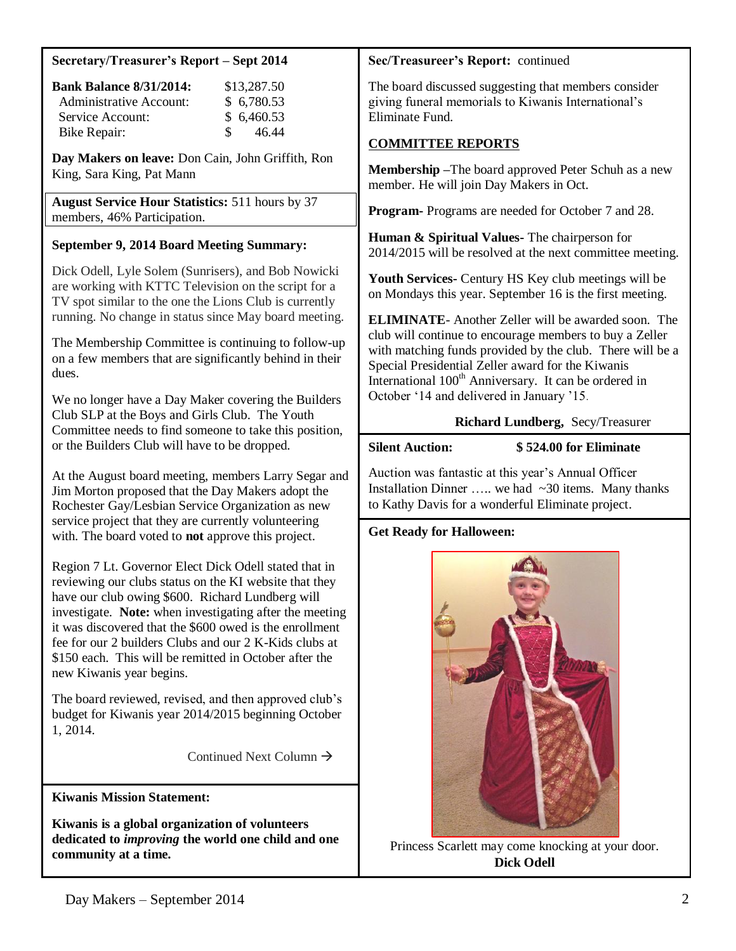#### **Secretary/Treasurer's Report – Sept 2014**

| <b>Bank Balance 8/31/2014:</b> | \$13,287.50            |
|--------------------------------|------------------------|
| Administrative Account:        | \$6,780.53             |
| Service Account:               | \$6,460.53             |
| Bike Repair:                   | 46.44<br>$\mathcal{S}$ |

**Day Makers on leave:** Don Cain, John Griffith, Ron King, Sara King, Pat Mann

**August Service Hour Statistics:** 511 hours by 37 members, 46% Participation.

### **September 9, 2014 Board Meeting Summary:**

Dick Odell, Lyle Solem (Sunrisers), and Bob Nowicki are working with KTTC Television on the script for a TV spot similar to the one the Lions Club is currently running. No change in status since May board meeting.

The Membership Committee is continuing to follow-up on a few members that are significantly behind in their dues.

We no longer have a Day Maker covering the Builders Club SLP at the Boys and Girls Club. The Youth Committee needs to find someone to take this position, or the Builders Club will have to be dropped.

At the August board meeting, members Larry Segar and Jim Morton proposed that the Day Makers adopt the Rochester Gay/Lesbian Service Organization as new service project that they are currently volunteering with. The board voted to **not** approve this project.

Region 7 Lt. Governor Elect Dick Odell stated that in reviewing our clubs status on the KI website that they have our club owing \$600. Richard Lundberg will investigate. **Note:** when investigating after the meeting it was discovered that the \$600 owed is the enrollment fee for our 2 builders Clubs and our 2 K-Kids clubs at \$150 each. This will be remitted in October after the new Kiwanis year begins.

The board reviewed, revised, and then approved club's budget for Kiwanis year 2014/2015 beginning October 1, 2014.

Continued Next Column  $\rightarrow$ 

**Kiwanis Mission Statement:**

**Kiwanis is a global organization of volunteers dedicated to** *improving* **the world one child and one community at a time.**

#### **Sec/Treasureer's Report:** continued

The board discussed suggesting that members consider giving funeral memorials to Kiwanis International's Eliminate Fund.

#### **COMMITTEE REPORTS**

**Membership –**The board approved Peter Schuh as a new member. He will join Day Makers in Oct.

**Program-** Programs are needed for October 7 and 28.

**Human & Spiritual Values-** The chairperson for 2014/2015 will be resolved at the next committee meeting.

**Youth Services-** Century HS Key club meetings will be on Mondays this year. September 16 is the first meeting.

**ELIMINATE**- Another Zeller will be awarded soon. The club will continue to encourage members to buy a Zeller with matching funds provided by the club. There will be a Special Presidential Zeller award for the Kiwanis International 100<sup>th</sup> Anniversary. It can be ordered in October '14 and delivered in January '15.

#### **Richard Lundberg,** Secy/Treasurer

#### **Silent Auction: \$ 524.00 for Eliminate**

Auction was fantastic at this year's Annual Officer Installation Dinner ... we had  $\sim$ 30 items. Many thanks to Kathy Davis for a wonderful Eliminate project.

## **Get Ready for Halloween:**



Princess Scarlett may come knocking at your door. **Dick Odell**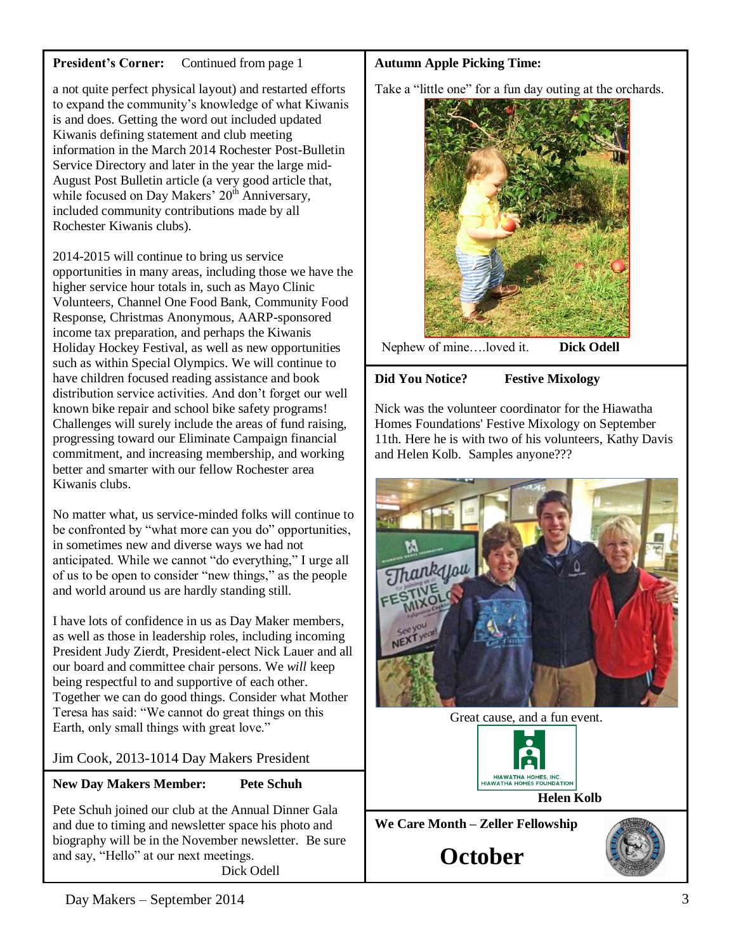### **President's Corner:** Continued from page 1

a not quite perfect physical layout) and restarted efforts to expand the community's knowledge of what Kiwanis is and does. Getting the word out included updated Kiwanis defining statement and club meeting information in the March 2014 Rochester Post-Bulletin Service Directory and later in the year the large mid-August Post Bulletin article (a very good article that, while focused on Day Makers' 20<sup>th</sup> Anniversary, included community contributions made by all Rochester Kiwanis clubs).

2014-2015 will continue to bring us service opportunities in many areas, including those we have the higher service hour totals in, such as Mayo Clinic Volunteers, Channel One Food Bank, Community Food Response, Christmas Anonymous, AARP-sponsored income tax preparation, and perhaps the Kiwanis Holiday Hockey Festival, as well as new opportunities such as within Special Olympics. We will continue to have children focused reading assistance and book distribution service activities. And don't forget our well known bike repair and school bike safety programs! Challenges will surely include the areas of fund raising, progressing toward our Eliminate Campaign financial commitment, and increasing membership, and working better and smarter with our fellow Rochester area Kiwanis clubs.

No matter what, us service-minded folks will continue to be confronted by "what more can you do" opportunities, in sometimes new and diverse ways we had not anticipated. While we cannot "do everything," I urge all of us to be open to consider "new things," as the people and world around us are hardly standing still.

I have lots of confidence in us as Day Maker members, as well as those in leadership roles, including incoming President Judy Zierdt, President-elect Nick Lauer and all our board and committee chair persons. We *will* keep being respectful to and supportive of each other. Together we can do good things. Consider what Mother Teresa has said: "We cannot do great things on this Earth, only small things with great love."

## Jim Cook, 2013-1014 Day Makers President

## **New Day Makers Member: Pete Schuh**

Pete Schuh joined our club at the Annual Dinner Gala and due to timing and newsletter space his photo and biography will be in the November newsletter. Be sure and say, "Hello" at our next meetings.

Dick Odell

## **Autumn Apple Picking Time:**

Take a "little one" for a fun day outing at the orchards.



# **Did You Notice? Festive Mixology**

Nick was the volunteer coordinator for the Hiawatha Homes Foundations' Festive Mixology on September 11th. Here he is with two of his volunteers, Kathy Davis and Helen Kolb. Samples anyone???







**We Care Month – Zeller Fellowship**

**October**

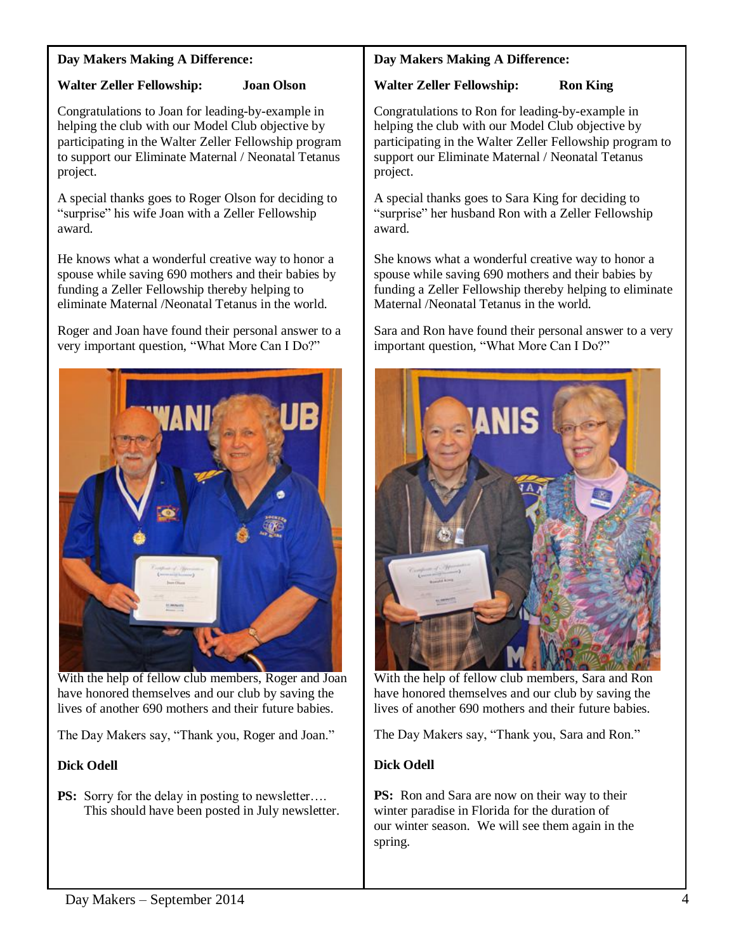#### **Day Makers Making A Difference:**

# **Walter Zeller Fellowship: Joan Olson**

Congratulations to Joan for leading-by-example in helping the club with our Model Club objective by participating in the Walter Zeller Fellowship program to support our Eliminate Maternal / Neonatal Tetanus project.

A special thanks goes to Roger Olson for deciding to "surprise" his wife Joan with a Zeller Fellowship award.

He knows what a wonderful creative way to honor a spouse while saving 690 mothers and their babies by funding a Zeller Fellowship thereby helping to eliminate Maternal /Neonatal Tetanus in the world.

Roger and Joan have found their personal answer to a very important question, "What More Can I Do?"



With the help of fellow club members, Roger and Joan have honored themselves and our club by saving the lives of another 690 mothers and their future babies.

The Day Makers say, "Thank you, Roger and Joan."

## **Dick Odell**

**PS:** Sorry for the delay in posting to newsletter.... This should have been posted in July newsletter.

## **Day Makers Making A Difference:**

### **Walter Zeller Fellowship: Ron King**

Congratulations to Ron for leading-by-example in helping the club with our Model Club objective by participating in the Walter Zeller Fellowship program to support our Eliminate Maternal / Neonatal Tetanus project.

A special thanks goes to Sara King for deciding to "surprise" her husband Ron with a Zeller Fellowship award.

She knows what a wonderful creative way to honor a spouse while saving 690 mothers and their babies by funding a Zeller Fellowship thereby helping to eliminate Maternal /Neonatal Tetanus in the world.

Sara and Ron have found their personal answer to a very important question, "What More Can I Do?"



With the help of fellow club members, Sara and Ron have honored themselves and our club by saving the lives of another 690 mothers and their future babies.

The Day Makers say, "Thank you, Sara and Ron."

# **Dick Odell**

**PS:** Ron and Sara are now on their way to their winter paradise in Florida for the duration of our winter season. We will see them again in the spring.